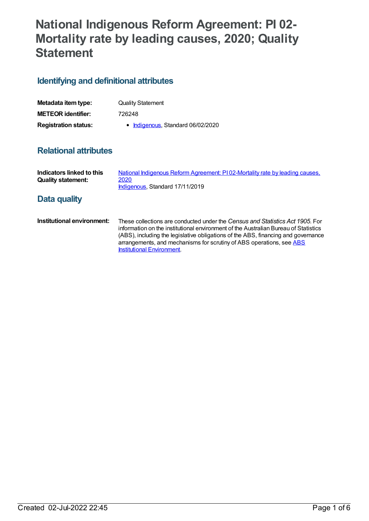## **National Indigenous Reform Agreement: PI 02- Mortality rate by leading causes, 2020; Quality Statement**

## **Identifying and definitional attributes**

| Metadata item type:         | <b>Quality Statement</b>          |
|-----------------------------|-----------------------------------|
| <b>METEOR identifier:</b>   | 726248                            |
| <b>Registration status:</b> | • Indigenous, Standard 06/02/2020 |

## **Relational attributes**

| Indicators linked to this<br><b>Quality statement:</b> | National Indigenous Reform Agreement: PI02-Mortality rate by leading causes,<br>2020<br>Indigenous, Standard 17/11/2019 |
|--------------------------------------------------------|-------------------------------------------------------------------------------------------------------------------------|
| Data quality                                           |                                                                                                                         |

**Institutional environment:** These collections are conducted under the *Census and Statistics Act 1905*. For information on the institutional environment of the Australian Bureau of Statistics (ABS), including the legislative obligations of the ABS, financing and governance [arrangements,](http://www.abs.gov.au/websitedbs/d3310114.nsf/4a256353001af3ed4b2562bb00121564/10ca14cb967e5b83ca2573ae00197b65!OpenDocument) and mechanisms for scrutiny of ABS operations, see ABS Institutional Environment.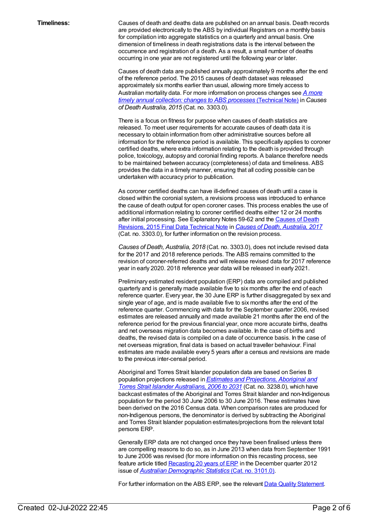**Timeliness:** Causes of death and deaths data are published on an annual basis. Death records are provided electronically to the ABS by individual Registrars on a monthly basis for compilation into aggregate statistics on a quarterly and annual basis. One dimension of timeliness in death registrations data is the interval between the occurrence and registration of a death. As a result, a small number of deaths occurring in one year are not registered until the following year or later.

> Causes of death data are published annually approximately 9 months after the end of the reference period. The 2015 causes of death dataset was released approximately six months earlier than usual, allowing more timely access to Australian mortality data. For more [information](http://www.abs.gov.au/AUSSTATS/abs@.nsf/Previousproducts/3303.0Technical%20Note12015?opendocument&tabname=Notes&prodno=3303.0&issue=2015&num=&view=) on process changes see *A more timely annual collection: changes to ABS processes* [\(Technical](http://www.abs.gov.au/AUSSTATS/abs@.nsf/Previousproducts/3303.0Technical%20Note12015?opendocument&tabname=Notes&prodno=3303.0&issue=2015&num=&view=) Note) in *Causes of Death Australia, 2015* (Cat. no. 3303.0).

There is a focus on fitness for purpose when causes of death statistics are released. To meet user requirements for accurate causes of death data it is necessary to obtain information from other administrative sources before all information for the reference period is available. This specifically applies to coroner certified deaths, where extra information relating to the death is provided through police, toxicology, autopsy and coronial finding reports. A balance therefore needs to be maintained between accuracy (completeness) of data and timeliness. ABS provides the data in a timely manner, ensuring that all coding possible can be undertaken with accuracy prior to publication.

As coroner certified deaths can have ill-defined causes of death until a case is closed within the coronial system, a revisions process was introduced to enhance the cause of death output for open coroner cases. This process enables the use of additional information relating to coroner certified deaths either 12 or 24 months after initial processing. See [Explanatory](https://www.abs.gov.au/AUSSTATS/abs@.nsf/Previousproducts/3303.0Technical%20Note12017?opendocument&tabname=Notes&prodno=3303.0&issue=2017&num=&view=) Notes 59-62 and the Causes of Death Revisions, 2015 Final Data Technical Note in *Causes of Death, [Australia,](https://www.abs.gov.au/AUSSTATS/abs@.nsf/allprimarymainfeatures/D5FFC33C35BDEB78CA25847F0013A20C?opendocument) 2017* (Cat. no. 3303.0), for further information on the revision process.

*Causes of Death, Australia, 2018* (Cat. no. 3303.0), does not include revised data for the 2017 and 2018 reference periods. The ABS remains committed to the revision of coroner-referred deaths and will release revised data for 2017 reference year in early 2020. 2018 reference year data will be released in early 2021.

Preliminary estimated resident population (ERP) data are compiled and published quarterly and is generally made available five to six months after the end of each reference quarter. Every year, the 30 June ERP is further disaggregated by sex and single year of age, and is made available five to six months after the end of the reference quarter. Commencing with data for the September quarter 2006, revised estimates are released annually and made available 21 months after the end of the reference period for the previous financial year, once more accurate births, deaths and net overseas migration data becomes available. In the case of births and deaths, the revised data is compiled on a date of occurrence basis. In the case of net overseas migration, final data is based on actual traveller behaviour. Final estimates are made available every 5 years after a census and revisions are made to the previous inter-censal period.

Aboriginal and Torres Strait Islander population data are based on Series B population projections released in *Estimates and [Projections,](https://www.abs.gov.au/ausstats/abs@.nsf/mf/3238.0) Aboriginal and Torres Strait Islander Australians, 2006 to 2031* (Cat. no. 3238.0), which have backcast estimates of the Aboriginal and Torres Strait Islander and non-Indigenous population for the period 30 June 2006 to 30 June 2016. These estimates have been derived on the 2016 Census data. When comparison rates are produced for non-Indigenous persons, the denominator is derived by subtracting the Aboriginal and Torres Strait Islander population estimates/projections from the relevant total persons ERP.

Generally ERP data are not changed once they have been finalised unless there are compelling reasons to do so, as in June 2013 when data from September 1991 to June 2006 was revised (for more information on this recasting process, see feature article titled [Recasting](http://www.abs.gov.au/AUSSTATS/abs@.nsf/Previousproducts/3101.0Feature%20Article2Dec%202012?opendocument&tabname=Summary&prodno=3101.0&issue=Dec%202012&num=&view=) 20 years of ERP in the December quarter 2012 issue of *Australian [Demographic](http://www.abs.gov.au/AUSSTATS/abs@.nsf/mf/3101.0) Statistics* (Cat. no. 3101.0).

For further information on the ABS ERP, see the relevant Data Quality [Statement](https://www.abs.gov.au/AUSSTATS/abs@.nsf/Previousproducts/3101.0Quality%20Declaration0Mar%202019?opendocument&tabname=Notes&prodno=3101.0&issue=Mar%202019&num=&view=).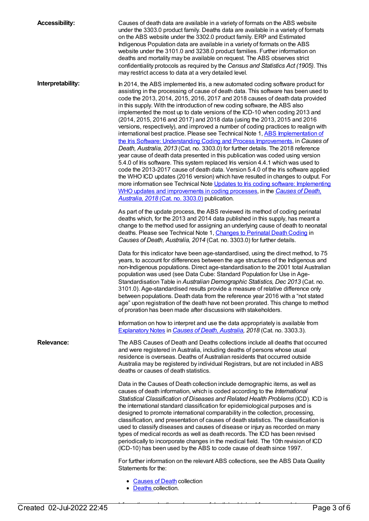**Accessibility:** Causes of death data are available in a variety of formats on the ABS website under the 3303.0 product family. Deaths data are available in a variety of formats on the ABS website under the 3302.0 product family. ERP and Estimated Indigenous Population data are available in a variety of formats on the ABS website under the 3101.0 and 3238.0 product families. Further information on deaths and mortality may be available on request. The ABS observes strict confidentiality protocols as required by the *Census and Statistics Act (1905)*. This may restrict access to data at a very detailed level. **Interpretability:** In 2014, the ABS implemented Iris, a new automated coding software product for assisting in the processing of cause of death data. This software has been used to code the 2013, 2014, 2015, 2016, 2017 and 2018 causes of death data provided in this supply. With the introduction of new coding software, the ABS also implemented the most up to date versions of the ICD-10 when coding 2013 and (2014, 2015, 2016 and 2017) and 2018 data (using the 2013, 2015 and 2016 versions, respectively), and improved a number of coding practices to realign with international best practice. Please see Technical Note 1, ABS [Implementation](http://www.abs.gov.au/ausstats/abs@.nsf/Lookup/3303.0Technical+Note12013) of the Iris Software: Understanding Coding and Process Improvements, in *Causes of Death, Australia, 2013* (Cat. no. 3303.0) for further details. The 2018 reference year cause of death data presented in this publication was coded using version 5.4.0 of Iris software. This system replaced Iris version 4.4.1 which was used to code the 2013-2017 cause of death data. Version 5.4.0 of the Iris software applied the WHO ICD updates (2016 version) which have resulted in changes to output. For more information see Technical Note Updates to Iris coding software: Implementing WHO updates and [improvements](https://www.abs.gov.au/AUSSTATS/abs@.nsf/Lookup/3303.0Main+Features12018?OpenDocument) in coding processes, in the *Causes of Death, Australia, 2018* (Cat. no. 3303.0) publication. As part of the update process, the ABS reviewed its method of coding perinatal deaths which, for the 2013 and 2014 data published in this supply, has meant a change to the method used for assigning an underlying cause of death to neonatal deaths. Please see Technical Note 1, [Changes](http://www.abs.gov.au/AUSSTATS/abs@.nsf/Previousproducts/3303.0Technical%20Note12014?opendocument&tabname=Notes&prodno=3303.0&issue=2014&num=&view=) to Perinatal Death Coding in *Causes of Death, Australia, 2014* (Cat. no. 3303.0) for further details. Data for this indicator have been age-standardised, using the direct method, to 75 years, to account for differences between the age structures of the Indigenous and non-Indigenous populations. Direct age-standardisation to the 2001 total Australian population was used (see Data Cube: Standard Population for Use in Age-Standardisation Table in *Australian Demographic Statistics, Dec 2013* (Cat. no. 3101.0). Age-standardised results provide a measure of relative difference only between populations. Death data from the reference year 2016 with a "not stated age" upon registration of the death have not been prorated. This change to method of proration has been made after discussions with stakeholders. Information on how to interpret and use the data appropriately is available from [Explanatory](https://www.abs.gov.au/AUSSTATS/abs@.nsf/Lookup/3303.0Explanatory%20Notes12018?OpenDocument) Notes in *Causes of Death, [Australia](https://www.abs.gov.au/AUSSTATS/abs@.nsf/allprimarymainfeatures/47E19CA15036B04BCA2577570014668B?opendocument), 2018* (Cat. no. 3303.3). **Relevance:** The ABS Causes of Death and Deaths collections include all deaths that occurred and were registered in Australia, including deaths of persons whose usual residence is overseas. Deaths of Australian residents that occurred outside Australia may be registered by individual Registrars, but are not included in ABS deaths or causes of death statistics. Data in the Causes of Death collection include demographic items, as well as causes of death information, which is coded according to the *International Statistical Classification of Diseases and Related Health Problems* (ICD). ICD is the international standard classification for epidemiological purposes and is designed to promote international comparability in the collection, processing, classification, and presentation of causes of death statistics. The classification is used to classify diseases and causes of disease or injury as recorded on many types of medical records as well as death records. The ICD has been revised periodically to incorporate changes in the medical field. The 10th revision of ICD (ICD-10) has been used by the ABS to code cause of death since 1997. For further information on the relevant ABS collections, see the ABS Data Quality Statements for the: • [Causes](https://www.abs.gov.au/AUSSTATS/abs@.nsf/Latestproducts/3303.0Quality%20Declaration02018?opendocument&tabname=Notes&prodno=3303.0&issue=2018&num=&view=) of Death collection • [Deaths](https://www.abs.gov.au/Ausstats/abs@.nsf/0/9FD0E6AAA0BB3388CA25750B000E3CF5?OpenDocument) collection.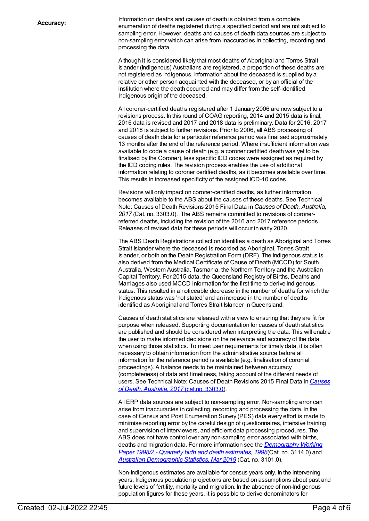Information on deaths and causes of death is obtained from a complete enumeration of deaths registered during a specified period and are not subject to sampling error. However, deaths and causes of death data sources are subject to non-sampling error which can arise from inaccuracies in collecting, recording and processing the data.

Although it is considered likely that most deaths of Aboriginal and Torres Strait Islander (Indigenous) Australians are registered, a proportion of these deaths are not registered as Indigenous. Information about the deceased is supplied by a relative or other person acquainted with the deceased, or by an official of the institution where the death occurred and may differ from the self-identified Indigenous origin of the deceased.

All coroner-certified deaths registered after 1 January 2006 are now subject to a revisions process. In this round of COAG reporting, 2014 and 2015 data is final, 2016 data is revised and 2017 and 2018 data is preliminary. Data for 2016, 2017 and 2018 is subject to further revisions. Prior to 2006, all ABS processing of causes of death data for a particular reference period was finalised approximately 13 months after the end of the reference period. Where insufficient information was available to code a cause of death (e.g. a coroner certified death was yet to be finalised by the Coroner), less specific ICD codes were assigned as required by the ICD coding rules. The revision process enables the use of additional information relating to coroner certified deaths, as it becomes available over time. This results in increased specificity of the assigned ICD-10 codes.

Revisions will only impact on coroner-certified deaths, as further information becomes available to the ABS about the causes of these deaths. See Technical Note: Causes of Death Revisions 2015 Final Data in *Causes of Death, Australia, 2017* (Cat. no. 3303.0). The ABS remains committed to revisions of coronerreferred deaths, including the revision of the 2016 and 2017 reference periods. Releases of revised data for these periods will occur in early 2020.

The ABS Death Registrations collection identifies a death as Aboriginal and Torres Strait Islander where the deceased is recorded as Aboriginal, Torres Strait Islander, or both on the Death Registration Form (DRF). The Indigenous status is also derived from the Medical Certificate of Cause of Death (MCCD) for South Australia, Western Australia, Tasmania, the Northern Territory and the Australian Capital Territory. For 2015 data, the Queensland Registry of Births, Deaths and Marriages also used MCCD information for the first time to derive Indigenous status. This resulted in a noticeable decrease in the number of deaths for which the Indigenous status was 'not stated' and an increase in the number of deaths identified as Aboriginal and Torres Strait Islander in Queensland.

Causes of death statistics are released with a view to ensuring that they are fit for purpose when released. Supporting documentation for causes of death statistics are published and should be considered when interpreting the data. This will enable the user to make informed decisions on the relevance and accuracy of the data, when using those statistics. To meet user requirements for timely data, it is often necessary to obtain information from the administrative source before all information for the reference period is available (e.g. finalisation of coronial proceedings). A balance needs to be maintained between accuracy (completeness) of data and timeliness, taking account of the different needs of users. See Technical Note: Causes of Death [Revisions](https://www.abs.gov.au/AUSSTATS/abs@.nsf/allprimarymainfeatures/D5FFC33C35BDEB78CA25847F0013A20C?opendocument) 2015 Final Data in *Causes of Death, Australia, 2017* (cat.no. 3303.0).

All ERP data sources are subject to non-sampling error. Non-sampling error can arise from inaccuracies in collecting, recording and processing the data. In the case of Census and Post Enumeration Survey (PES) data every effort is made to minimise reporting error by the careful design of questionnaires, intensive training and supervision of interviewers, and efficient data processing procedures. The ABS does not have control over any non-sampling error associated with births, deaths and migration data. For more information see the *[Demography](http://www.abs.gov.au/AUSSTATS/abs@.nsf/ProductsbyCatalogue/B5BE54544A5DAFEFCA257061001F4540?OpenDocument) Working Paper 1998/2 - Quarterly birth and death estimates, 1998*(Cat. no. 3114.0) and *Australian [Demographic](http://www.abs.gov.au/ausstats/abs@.nsf/mf/3101.0) Statistics, Mar 2019* (Cat. no. 3101.0).

Non-Indigenous estimates are available for census years only. In the intervening years, Indigenous population projections are based on assumptions about past and future levels of fertility, mortality and migration. In the absence of non-Indigenous population figures for these years, it is possible to derive denominators for